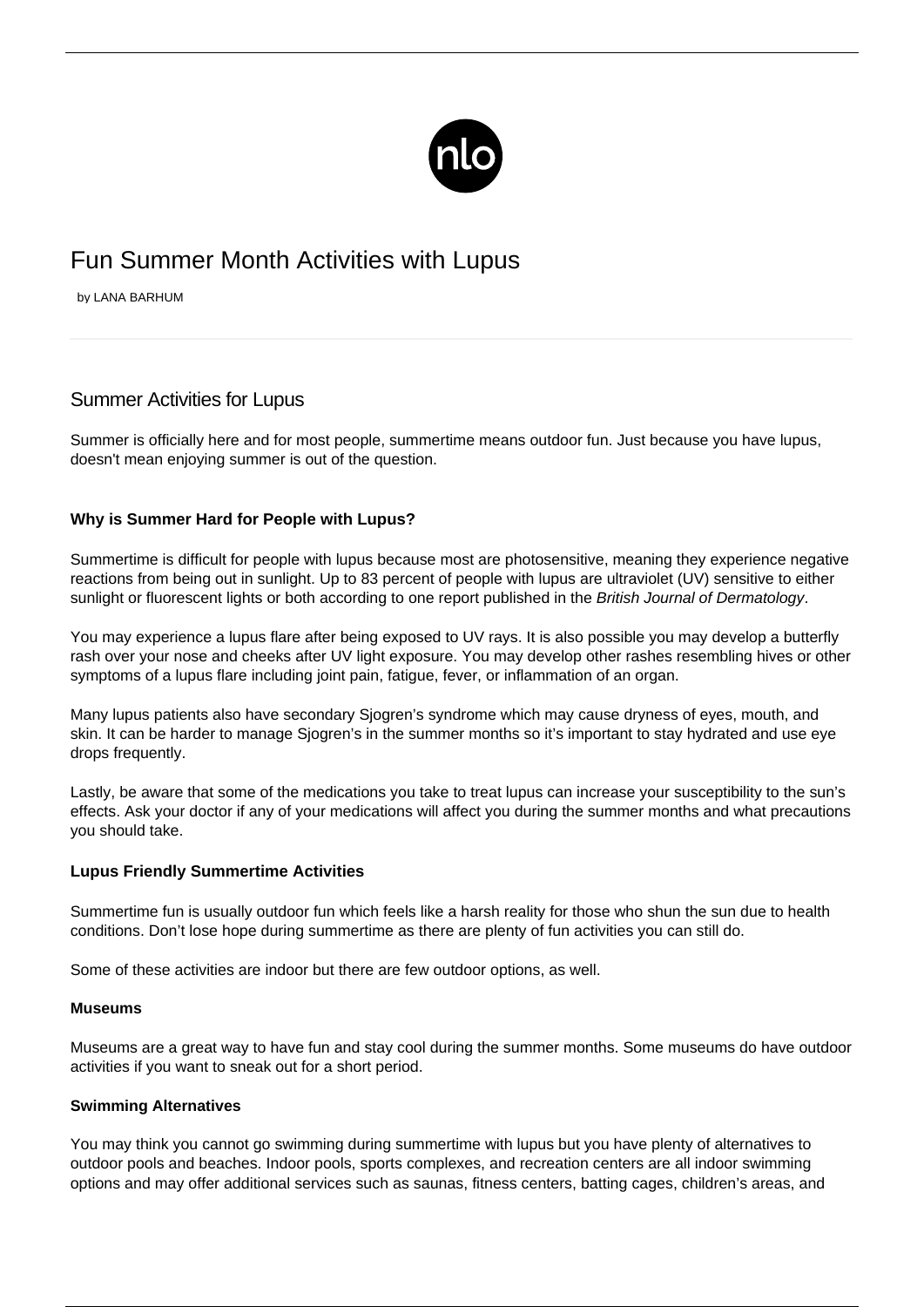

# Fun Summer Month Activities with Lupus

by LANA BARHUM

## Summer Activities for Lupus

Summer is officially here and for most people, summertime means outdoor fun. Just because you have lupus, doesn't mean enjoying summer is out of the question.

## **Why is Summer Hard for People with Lupus?**

Summertime is difficult for people with lupus because most are [photosensitive](/lupus-and-photosensitivity/), meaning they experience negative reactions from being out in sunlight. Up to 83 percent of people with lupus are ultraviolet (UV) sensitive to either sunlight or fluorescent lights or both according to one report published in the British Journal of Dermatology.

You may experience a lupus flare after being exposed to UV rays. It is also possible you may develop a butterfly rash over your nose and cheeks after UV light exposure. You may develop other rashes resembling hives or other symptoms of a lupus flare including joint pain, fatigue, fever, or inflammation of an organ.

Many lupus patients also have secondary Sjogren's syndrome which may cause dryness of eyes, mouth, and skin. It can be harder to manage Sjogren's in the summer months so it's important to stay hydrated and use eye drops frequently.

Lastly, be aware that some of the medications you take to treat lupus can increase your susceptibility to the sun's effects. Ask your doctor if any of your medications will affect you during the summer months and what precautions you should take.

## **Lupus Friendly Summertime Activities**

Summertime fun is usually outdoor fun which feels like a harsh reality for those who shun the sun due to health conditions. Don't lose hope during summertime as there are plenty of fun activities you can still do.

Some of these activities are indoor but there are few outdoor options, as well.

#### **Museums**

Museums are a great way to have fun and stay cool during the summer months. Some museums do have outdoor activities if you want to sneak out for a short period.

## **Swimming Alternatives**

You may think you cannot go swimming during summertime with lupus but you have plenty of alternatives to outdoor pools and beaches. Indoor pools, sports complexes, and recreation centers are all indoor swimming options and may offer additional services such as saunas, fitness centers, batting cages, children's areas, and